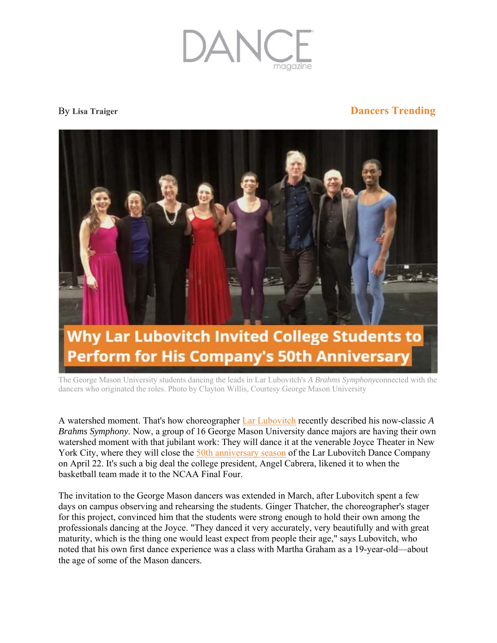

## By **Lisa Traiger Dancers Trending**



The George Mason University students dancing the leads in Lar Lubovitch's *A Brahms Symphony*connected with the dancers who originated the roles. Photo by Clayton Willis, Courtesy George Mason University

A watershed moment. That's how choreographer Lar Lubovitch recently described his now-classic *A Brahms Symphony*. Now, a group of 16 George Mason University dance majors are having their own watershed moment with that jubilant work: They will dance it at the venerable Joyce Theater in New York City, where they will close the 50th anniversary season of the Lar Lubovitch Dance Company on April 22. It's such a big deal the college president, Angel Cabrera, likened it to when the basketball team made it to the NCAA Final Four.

The invitation to the George Mason dancers was extended in March, after Lubovitch spent a few days on campus observing and rehearsing the students. Ginger Thatcher, the choreographer's stager for this project, convinced him that the students were strong enough to hold their own among the professionals dancing at the Joyce. "They danced it very accurately, very beautifully and with great maturity, which is the thing one would least expect from people their age," says Lubovitch, who noted that his own first dance experience was a class with Martha Graham as a 19-year-old—about the age of some of the Mason dancers.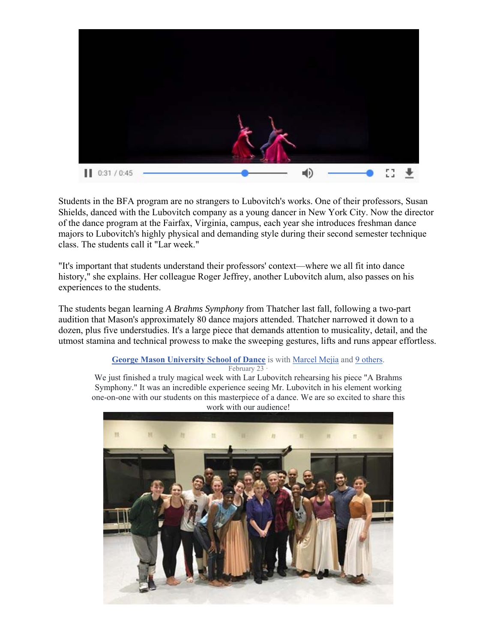

Students in the BFA program are no strangers to Lubovitch's works. One of their professors, Susan Shields, danced with the Lubovitch company as a young dancer in New York City. Now the director of the dance program at the Fairfax, Virginia, campus, each year she introduces freshman dance majors to Lubovitch's highly physical and demanding style during their second semester technique class. The students call it "Lar week."

"It's important that students understand their professors' context—where we all fit into dance history," she explains. Her colleague Roger Jeffrey, another Lubovitch alum, also passes on his experiences to the students.

The students began learning *A Brahms Symphony* from Thatcher last fall, following a two-part audition that Mason's approximately 80 dance majors attended. Thatcher narrowed it down to a dozen, plus five understudies. It's a large piece that demands attention to musicality, detail, and the utmost stamina and technical prowess to make the sweeping gestures, lifts and runs appear effortless.

## **George Mason University School of Dance** is with Marcel Mejia and 9 others.

February 23

We just finished a truly magical week with Lar Lubovitch rehearsing his piece "A Brahms Symphony." It was an incredible experience seeing Mr. Lubovitch in his element working one-on-one with our students on this masterpiece of a dance. We are so excited to share this work with our audience!